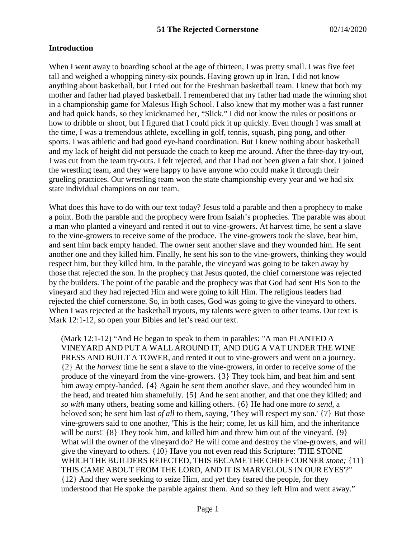#### **Introduction**

When I went away to boarding school at the age of thirteen, I was pretty small. I was five feet tall and weighed a whopping ninety-six pounds. Having grown up in Iran, I did not know anything about basketball, but I tried out for the Freshman basketball team. I knew that both my mother and father had played basketball. I remembered that my father had made the winning shot in a championship game for Malesus High School. I also knew that my mother was a fast runner and had quick hands, so they knicknamed her, "Slick." I did not know the rules or positions or how to dribble or shoot, but I figured that I could pick it up quickly. Even though I was small at the time, I was a tremendous athlete, excelling in golf, tennis, squash, ping pong, and other sports. I was athletic and had good eye-hand coordination. But I knew nothing about basketball and my lack of height did not persuade the coach to keep me around. After the three-day try-out, I was cut from the team try-outs. I felt rejected, and that I had not been given a fair shot. I joined the wrestling team, and they were happy to have anyone who could make it through their grueling practices. Our wrestling team won the state championship every year and we had six state individual champions on our team.

What does this have to do with our text today? Jesus told a parable and then a prophecy to make a point. Both the parable and the prophecy were from Isaiah's prophecies. The parable was about a man who planted a vineyard and rented it out to vine-growers. At harvest time, he sent a slave to the vine-growers to receive some of the produce. The vine-growers took the slave, beat him, and sent him back empty handed. The owner sent another slave and they wounded him. He sent another one and they killed him. Finally, he sent his son to the vine-growers, thinking they would respect him, but they killed him. In the parable, the vineyard was going to be taken away by those that rejected the son. In the prophecy that Jesus quoted, the chief cornerstone was rejected by the builders. The point of the parable and the prophecy was that God had sent His Son to the vineyard and they had rejected Him and were going to kill Him. The religious leaders had rejected the chief cornerstone. So, in both cases, God was going to give the vineyard to others. When I was rejected at the basketball tryouts, my talents were given to other teams. Our text is Mark 12:1-12, so open your Bibles and let's read our text.

(Mark 12:1-12) "And He began to speak to them in parables: "A man PLANTED A VINEYARD AND PUT A WALL AROUND IT, AND DUG A VAT UNDER THE WINE PRESS AND BUILT A TOWER, and rented it out to vine-growers and went on a journey. {2} At the *harvest* time he sent a slave to the vine-growers, in order to receive *some* of the produce of the vineyard from the vine-growers. {3} They took him, and beat him and sent him away empty-handed. {4} Again he sent them another slave, and they wounded him in the head, and treated him shamefully. {5} And he sent another, and that one they killed; and *so with* many others, beating some and killing others. {6} He had one more *to send,* a beloved son; he sent him last *of all* to them, saying, 'They will respect my son.' {7} But those vine-growers said to one another, 'This is the heir; come, let us kill him, and the inheritance will be ours!'  $\{8\}$  They took him, and killed him and threw him out of the vineyard.  $\{9\}$ What will the owner of the vineyard do? He will come and destroy the vine-growers, and will give the vineyard to others. {10} Have you not even read this Scripture: 'THE STONE WHICH THE BUILDERS REJECTED, THIS BECAME THE CHIEF CORNER *stone;* {11} THIS CAME ABOUT FROM THE LORD, AND IT IS MARVELOUS IN OUR EYES'?" {12} And they were seeking to seize Him, and *yet* they feared the people, for they understood that He spoke the parable against them. And *so* they left Him and went away."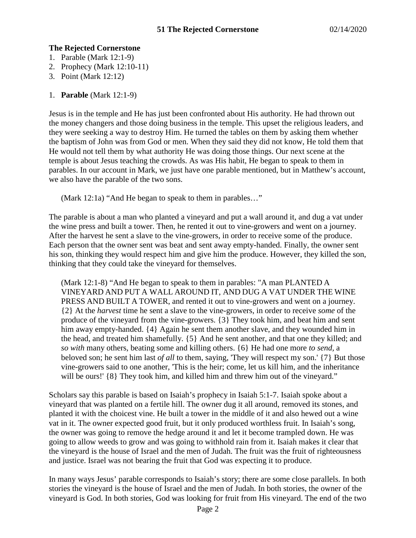#### **The Rejected Cornerstone**

- 1. Parable (Mark 12:1-9)
- 2. Prophecy (Mark 12:10-11)
- 3. Point (Mark 12:12)

# 1. **Parable** (Mark 12:1-9)

Jesus is in the temple and He has just been confronted about His authority. He had thrown out the money changers and those doing business in the temple. This upset the religious leaders, and they were seeking a way to destroy Him. He turned the tables on them by asking them whether the baptism of John was from God or men. When they said they did not know, He told them that He would not tell them by what authority He was doing those things. Our next scene at the temple is about Jesus teaching the crowds. As was His habit, He began to speak to them in parables. In our account in Mark, we just have one parable mentioned, but in Matthew's account, we also have the parable of the two sons.

(Mark 12:1a) "And He began to speak to them in parables…"

The parable is about a man who planted a vineyard and put a wall around it, and dug a vat under the wine press and built a tower. Then, he rented it out to vine-growers and went on a journey. After the harvest he sent a slave to the vine-growers, in order to receive some of the produce. Each person that the owner sent was beat and sent away empty-handed. Finally, the owner sent his son, thinking they would respect him and give him the produce. However, they killed the son, thinking that they could take the vineyard for themselves.

(Mark 12:1-8) "And He began to speak to them in parables: "A man PLANTED A VINEYARD AND PUT A WALL AROUND IT, AND DUG A VAT UNDER THE WINE PRESS AND BUILT A TOWER, and rented it out to vine-growers and went on a journey. {2} At the *harvest* time he sent a slave to the vine-growers, in order to receive *some* of the produce of the vineyard from the vine-growers. {3} They took him, and beat him and sent him away empty-handed. {4} Again he sent them another slave, and they wounded him in the head, and treated him shamefully. {5} And he sent another, and that one they killed; and *so with* many others, beating some and killing others. {6} He had one more *to send,* a beloved son; he sent him last *of all* to them, saying, 'They will respect my son.' {7} But those vine-growers said to one another, 'This is the heir; come, let us kill him, and the inheritance will be ours!'  $\{8\}$  They took him, and killed him and threw him out of the vineyard."

Scholars say this parable is based on Isaiah's prophecy in Isaiah 5:1-7. Isaiah spoke about a vineyard that was planted on a fertile hill. The owner dug it all around, removed its stones, and planted it with the choicest vine. He built a tower in the middle of it and also hewed out a wine vat in it. The owner expected good fruit, but it only produced worthless fruit. In Isaiah's song, the owner was going to remove the hedge around it and let it become trampled down. He was going to allow weeds to grow and was going to withhold rain from it. Isaiah makes it clear that the vineyard is the house of Israel and the men of Judah. The fruit was the fruit of righteousness and justice. Israel was not bearing the fruit that God was expecting it to produce.

In many ways Jesus' parable corresponds to Isaiah's story; there are some close parallels. In both stories the vineyard is the house of Israel and the men of Judah. In both stories, the owner of the vineyard is God. In both stories, God was looking for fruit from His vineyard. The end of the two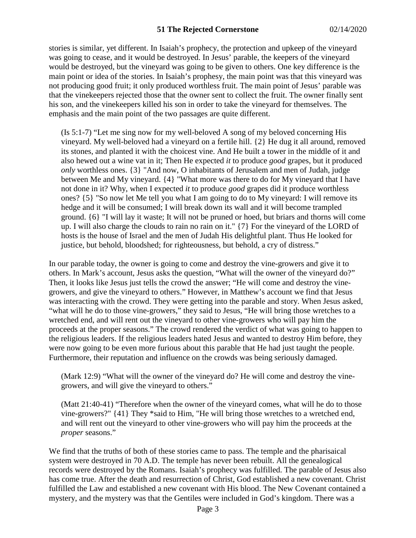## **51 The Rejected Cornerstone** 02/14/2020

stories is similar, yet different. In Isaiah's prophecy, the protection and upkeep of the vineyard was going to cease, and it would be destroyed. In Jesus' parable, the keepers of the vineyard would be destroyed, but the vineyard was going to be given to others. One key difference is the main point or idea of the stories. In Isaiah's prophesy, the main point was that this vineyard was not producing good fruit; it only produced worthless fruit. The main point of Jesus' parable was that the vinekeepers rejected those that the owner sent to collect the fruit. The owner finally sent his son, and the vinekeepers killed his son in order to take the vineyard for themselves. The emphasis and the main point of the two passages are quite different.

(Is 5:1-7) "Let me sing now for my well-beloved A song of my beloved concerning His vineyard. My well-beloved had a vineyard on a fertile hill. {2} He dug it all around, removed its stones, and planted it with the choicest vine. And He built a tower in the middle of it and also hewed out a wine vat in it; Then He expected *it* to produce *good* grapes, but it produced *only* worthless ones. {3} "And now, O inhabitants of Jerusalem and men of Judah, judge between Me and My vineyard. {4} "What more was there to do for My vineyard that I have not done in it? Why, when I expected *it* to produce *good* grapes did it produce worthless ones? {5} "So now let Me tell you what I am going to do to My vineyard: I will remove its hedge and it will be consumed; I will break down its wall and it will become trampled ground. {6} "I will lay it waste; It will not be pruned or hoed, but briars and thorns will come up. I will also charge the clouds to rain no rain on it." {7} For the vineyard of the LORD of hosts is the house of Israel and the men of Judah His delightful plant. Thus He looked for justice, but behold, bloodshed; for righteousness, but behold, a cry of distress."

In our parable today, the owner is going to come and destroy the vine-growers and give it to others. In Mark's account, Jesus asks the question, "What will the owner of the vineyard do?" Then, it looks like Jesus just tells the crowd the answer; "He will come and destroy the vinegrowers, and give the vineyard to others." However, in Matthew's account we find that Jesus was interacting with the crowd. They were getting into the parable and story. When Jesus asked, "what will he do to those vine-growers," they said to Jesus, "He will bring those wretches to a wretched end, and will rent out the vineyard to other vine-growers who will pay him the proceeds at the proper seasons." The crowd rendered the verdict of what was going to happen to the religious leaders. If the religious leaders hated Jesus and wanted to destroy Him before, they were now going to be even more furious about this parable that He had just taught the people. Furthermore, their reputation and influence on the crowds was being seriously damaged.

(Mark 12:9) "What will the owner of the vineyard do? He will come and destroy the vinegrowers, and will give the vineyard to others."

(Matt 21:40-41) "Therefore when the owner of the vineyard comes, what will he do to those vine-growers?" {41} They \*said to Him, "He will bring those wretches to a wretched end, and will rent out the vineyard to other vine-growers who will pay him the proceeds at the *proper* seasons."

We find that the truths of both of these stories came to pass. The temple and the pharisaical system were destroyed in 70 A.D. The temple has never been rebuilt. All the genealogical records were destroyed by the Romans. Isaiah's prophecy was fulfilled. The parable of Jesus also has come true. After the death and resurrection of Christ, God established a new covenant. Christ fulfilled the Law and established a new covenant with His blood. The New Covenant contained a mystery, and the mystery was that the Gentiles were included in God's kingdom. There was a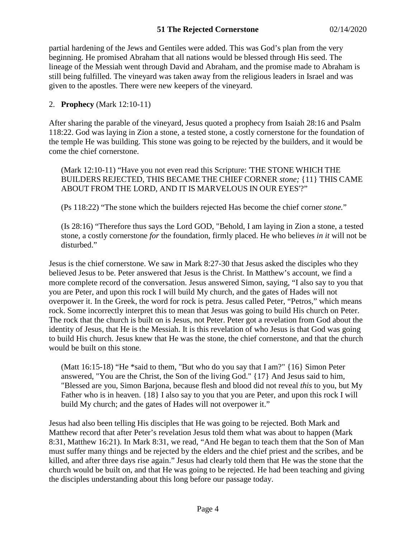partial hardening of the Jews and Gentiles were added. This was God's plan from the very beginning. He promised Abraham that all nations would be blessed through His seed. The lineage of the Messiah went through David and Abraham, and the promise made to Abraham is still being fulfilled. The vineyard was taken away from the religious leaders in Israel and was given to the apostles. There were new keepers of the vineyard.

## 2. **Prophecy** (Mark 12:10-11)

After sharing the parable of the vineyard, Jesus quoted a prophecy from Isaiah 28:16 and Psalm 118:22. God was laying in Zion a stone, a tested stone, a costly cornerstone for the foundation of the temple He was building. This stone was going to be rejected by the builders, and it would be come the chief cornerstone.

(Mark 12:10-11) "Have you not even read this Scripture: 'THE STONE WHICH THE BUILDERS REJECTED, THIS BECAME THE CHIEF CORNER *stone;* {11} THIS CAME ABOUT FROM THE LORD, AND IT IS MARVELOUS IN OUR EYES'?"

(Ps 118:22) "The stone which the builders rejected Has become the chief corner *stone.*"

(Is 28:16) "Therefore thus says the Lord GOD, "Behold, I am laying in Zion a stone, a tested stone, a costly cornerstone *for* the foundation, firmly placed. He who believes *in it* will not be disturbed."

Jesus is the chief cornerstone. We saw in Mark 8:27-30 that Jesus asked the disciples who they believed Jesus to be. Peter answered that Jesus is the Christ. In Matthew's account, we find a more complete record of the conversation. Jesus answered Simon, saying, "I also say to you that you are Peter, and upon this rock I will build My church, and the gates of Hades will not overpower it. In the Greek, the word for rock is petra. Jesus called Peter, "Petros," which means rock. Some incorrectly interpret this to mean that Jesus was going to build His church on Peter. The rock that the church is built on is Jesus, not Peter. Peter got a revelation from God about the identity of Jesus, that He is the Messiah. It is this revelation of who Jesus is that God was going to build His church. Jesus knew that He was the stone, the chief cornerstone, and that the church would be built on this stone.

(Matt 16:15-18) "He \*said to them, "But who do you say that I am?" {16} Simon Peter answered, "You are the Christ, the Son of the living God." {17} And Jesus said to him, "Blessed are you, Simon Barjona, because flesh and blood did not reveal *this* to you, but My Father who is in heaven.  ${18}$  I also say to you that you are Peter, and upon this rock I will build My church; and the gates of Hades will not overpower it."

Jesus had also been telling His disciples that He was going to be rejected. Both Mark and Matthew record that after Peter's revelation Jesus told them what was about to happen (Mark 8:31, Matthew 16:21). In Mark 8:31, we read, "And He began to teach them that the Son of Man must suffer many things and be rejected by the elders and the chief priest and the scribes, and be killed, and after three days rise again." Jesus had clearly told them that He was the stone that the church would be built on, and that He was going to be rejected. He had been teaching and giving the disciples understanding about this long before our passage today.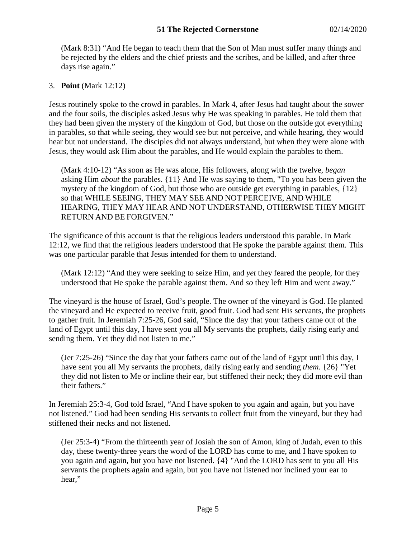(Mark 8:31) "And He began to teach them that the Son of Man must suffer many things and be rejected by the elders and the chief priests and the scribes, and be killed, and after three days rise again."

#### 3. **Point** (Mark 12:12)

Jesus routinely spoke to the crowd in parables. In Mark 4, after Jesus had taught about the sower and the four soils, the disciples asked Jesus why He was speaking in parables. He told them that they had been given the mystery of the kingdom of God, but those on the outside got everything in parables, so that while seeing, they would see but not perceive, and while hearing, they would hear but not understand. The disciples did not always understand, but when they were alone with Jesus, they would ask Him about the parables, and He would explain the parables to them.

(Mark 4:10-12) "As soon as He was alone, His followers, along with the twelve, *began* asking Him *about* the parables. {11} And He was saying to them, "To you has been given the mystery of the kingdom of God, but those who are outside get everything in parables, {12} so that WHILE SEEING, THEY MAY SEE AND NOT PERCEIVE, AND WHILE HEARING, THEY MAY HEAR AND NOT UNDERSTAND, OTHERWISE THEY MIGHT RETURN AND BE FORGIVEN."

The significance of this account is that the religious leaders understood this parable. In Mark 12:12, we find that the religious leaders understood that He spoke the parable against them. This was one particular parable that Jesus intended for them to understand.

(Mark 12:12) "And they were seeking to seize Him, and *yet* they feared the people, for they understood that He spoke the parable against them. And *so* they left Him and went away."

The vineyard is the house of Israel, God's people. The owner of the vineyard is God. He planted the vineyard and He expected to receive fruit, good fruit. God had sent His servants, the prophets to gather fruit. In Jeremiah 7:25-26, God said, "Since the day that your fathers came out of the land of Egypt until this day, I have sent you all My servants the prophets, daily rising early and sending them. Yet they did not listen to me."

(Jer 7:25-26) "Since the day that your fathers came out of the land of Egypt until this day, I have sent you all My servants the prophets, daily rising early and sending *them.* {26} "Yet they did not listen to Me or incline their ear, but stiffened their neck; they did more evil than their fathers."

In Jeremiah 25:3-4, God told Israel, "And I have spoken to you again and again, but you have not listened." God had been sending His servants to collect fruit from the vineyard, but they had stiffened their necks and not listened.

(Jer 25:3-4) "From the thirteenth year of Josiah the son of Amon, king of Judah, even to this day, these twenty-three years the word of the LORD has come to me, and I have spoken to you again and again, but you have not listened. {4} "And the LORD has sent to you all His servants the prophets again and again, but you have not listened nor inclined your ear to hear,"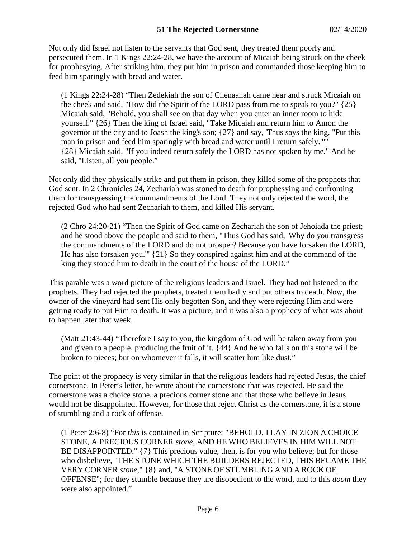Not only did Israel not listen to the servants that God sent, they treated them poorly and persecuted them. In 1 Kings 22:24-28, we have the account of Micaiah being struck on the cheek for prophesying. After striking him, they put him in prison and commanded those keeping him to feed him sparingly with bread and water.

(1 Kings 22:24-28) "Then Zedekiah the son of Chenaanah came near and struck Micaiah on the cheek and said, "How did the Spirit of the LORD pass from me to speak to you?" {25} Micaiah said, "Behold, you shall see on that day when you enter an inner room to hide yourself." {26} Then the king of Israel said, "Take Micaiah and return him to Amon the governor of the city and to Joash the king's son; {27} and say, 'Thus says the king, "Put this man in prison and feed him sparingly with bread and water until I return safely."'" {28} Micaiah said, "If you indeed return safely the LORD has not spoken by me." And he said, "Listen, all you people."

Not only did they physically strike and put them in prison, they killed some of the prophets that God sent. In 2 Chronicles 24, Zechariah was stoned to death for prophesying and confronting them for transgressing the commandments of the Lord. They not only rejected the word, the rejected God who had sent Zechariah to them, and killed His servant.

(2 Chro 24:20-21) "Then the Spirit of God came on Zechariah the son of Jehoiada the priest; and he stood above the people and said to them, "Thus God has said, 'Why do you transgress the commandments of the LORD and do not prosper? Because you have forsaken the LORD, He has also forsaken you.'" {21} So they conspired against him and at the command of the king they stoned him to death in the court of the house of the LORD."

This parable was a word picture of the religious leaders and Israel. They had not listened to the prophets. They had rejected the prophets, treated them badly and put others to death. Now, the owner of the vineyard had sent His only begotten Son, and they were rejecting Him and were getting ready to put Him to death. It was a picture, and it was also a prophecy of what was about to happen later that week.

(Matt 21:43-44) "Therefore I say to you, the kingdom of God will be taken away from you and given to a people, producing the fruit of it. {44} And he who falls on this stone will be broken to pieces; but on whomever it falls, it will scatter him like dust."

The point of the prophecy is very similar in that the religious leaders had rejected Jesus, the chief cornerstone. In Peter's letter, he wrote about the cornerstone that was rejected. He said the cornerstone was a choice stone, a precious corner stone and that those who believe in Jesus would not be disappointed. However, for those that reject Christ as the cornerstone, it is a stone of stumbling and a rock of offense.

(1 Peter 2:6-8) "For *this* is contained in Scripture: "BEHOLD, I LAY IN ZION A CHOICE STONE, A PRECIOUS CORNER *stone,* AND HE WHO BELIEVES IN HIM WILL NOT BE DISAPPOINTED." {7} This precious value, then, is for you who believe; but for those who disbelieve, "THE STONE WHICH THE BUILDERS REJECTED, THIS BECAME THE VERY CORNER *stone,*" {8} and, "A STONE OF STUMBLING AND A ROCK OF OFFENSE"; for they stumble because they are disobedient to the word, and to this *doom* they were also appointed."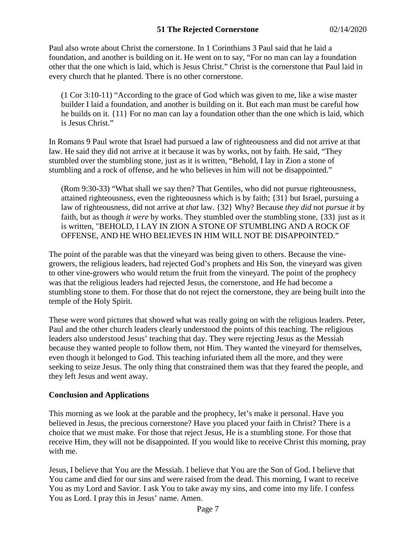Paul also wrote about Christ the cornerstone. In 1 Corinthians 3 Paul said that he laid a foundation, and another is building on it. He went on to say, "For no man can lay a foundation other that the one which is laid, which is Jesus Christ." Christ is the cornerstone that Paul laid in every church that he planted. There is no other cornerstone.

(1 Cor 3:10-11) "According to the grace of God which was given to me, like a wise master builder I laid a foundation, and another is building on it. But each man must be careful how he builds on it. {11} For no man can lay a foundation other than the one which is laid, which is Jesus Christ."

In Romans 9 Paul wrote that Israel had pursued a law of righteousness and did not arrive at that law. He said they did not arrive at it because it was by works, not by faith. He said, "They stumbled over the stumbling stone, just as it is written, "Behold, I lay in Zion a stone of stumbling and a rock of offense, and he who believes in him will not be disappointed."

(Rom 9:30-33) "What shall we say then? That Gentiles, who did not pursue righteousness, attained righteousness, even the righteousness which is by faith; {31} but Israel, pursuing a law of righteousness, did not arrive at *that* law. {32} Why? Because *they did* not *pursue it* by faith, but as though *it were* by works. They stumbled over the stumbling stone, {33} just as it is written, "BEHOLD, I LAY IN ZION A STONE OF STUMBLING AND A ROCK OF OFFENSE, AND HE WHO BELIEVES IN HIM WILL NOT BE DISAPPOINTED."

The point of the parable was that the vineyard was being given to others. Because the vinegrowers, the religious leaders, had rejected God's prophets and His Son, the vineyard was given to other vine-growers who would return the fruit from the vineyard. The point of the prophecy was that the religious leaders had rejected Jesus, the cornerstone, and He had become a stumbling stone to them. For those that do not reject the cornerstone, they are being built into the temple of the Holy Spirit.

These were word pictures that showed what was really going on with the religious leaders. Peter, Paul and the other church leaders clearly understood the points of this teaching. The religious leaders also understood Jesus' teaching that day. They were rejecting Jesus as the Messiah because they wanted people to follow them, not Him. They wanted the vineyard for themselves, even though it belonged to God. This teaching infuriated them all the more, and they were seeking to seize Jesus. The only thing that constrained them was that they feared the people, and they left Jesus and went away.

## **Conclusion and Applications**

This morning as we look at the parable and the prophecy, let's make it personal. Have you believed in Jesus, the precious cornerstone? Have you placed your faith in Christ? There is a choice that we must make. For those that reject Jesus, He is a stumbling stone. For those that receive Him, they will not be disappointed. If you would like to receive Christ this morning, pray with me.

Jesus, I believe that You are the Messiah. I believe that You are the Son of God. I believe that You came and died for our sins and were raised from the dead. This morning, I want to receive You as my Lord and Savior. I ask You to take away my sins, and come into my life. I confess You as Lord. I pray this in Jesus' name. Amen.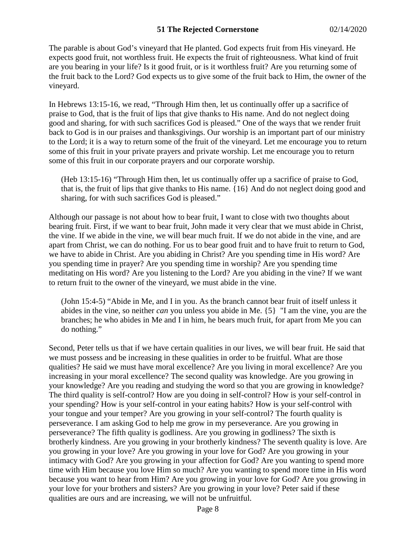The parable is about God's vineyard that He planted. God expects fruit from His vineyard. He expects good fruit, not worthless fruit. He expects the fruit of righteousness. What kind of fruit are you bearing in your life? Is it good fruit, or is it worthless fruit? Are you returning some of the fruit back to the Lord? God expects us to give some of the fruit back to Him, the owner of the vineyard.

In Hebrews 13:15-16, we read, "Through Him then, let us continually offer up a sacrifice of praise to God, that is the fruit of lips that give thanks to His name. And do not neglect doing good and sharing, for with such sacrifices God is pleased." One of the ways that we render fruit back to God is in our praises and thanksgivings. Our worship is an important part of our ministry to the Lord; it is a way to return some of the fruit of the vineyard. Let me encourage you to return some of this fruit in your private prayers and private worship. Let me encourage you to return some of this fruit in our corporate prayers and our corporate worship.

(Heb 13:15-16) "Through Him then, let us continually offer up a sacrifice of praise to God, that is, the fruit of lips that give thanks to His name. {16} And do not neglect doing good and sharing, for with such sacrifices God is pleased."

Although our passage is not about how to bear fruit, I want to close with two thoughts about bearing fruit. First, if we want to bear fruit, John made it very clear that we must abide in Christ, the vine. If we abide in the vine, we will bear much fruit. If we do not abide in the vine, and are apart from Christ, we can do nothing. For us to bear good fruit and to have fruit to return to God, we have to abide in Christ. Are you abiding in Christ? Are you spending time in His word? Are you spending time in prayer? Are you spending time in worship? Are you spending time meditating on His word? Are you listening to the Lord? Are you abiding in the vine? If we want to return fruit to the owner of the vineyard, we must abide in the vine.

(John 15:4-5) "Abide in Me, and I in you. As the branch cannot bear fruit of itself unless it abides in the vine, so neither *can* you unless you abide in Me. {5} "I am the vine, you are the branches; he who abides in Me and I in him, he bears much fruit, for apart from Me you can do nothing."

Second, Peter tells us that if we have certain qualities in our lives, we will bear fruit. He said that we must possess and be increasing in these qualities in order to be fruitful. What are those qualities? He said we must have moral excellence? Are you living in moral excellence? Are you increasing in your moral excellence? The second quality was knowledge. Are you growing in your knowledge? Are you reading and studying the word so that you are growing in knowledge? The third quality is self-control? How are you doing in self-control? How is your self-control in your spending? How is your self-control in your eating habits? How is your self-control with your tongue and your temper? Are you growing in your self-control? The fourth quality is perseverance. I am asking God to help me grow in my perseverance. Are you growing in perseverance? The fifth quality is godliness. Are you growing in godliness? The sixth is brotherly kindness. Are you growing in your brotherly kindness? The seventh quality is love. Are you growing in your love? Are you growing in your love for God? Are you growing in your intimacy with God? Are you growing in your affection for God? Are you wanting to spend more time with Him because you love Him so much? Are you wanting to spend more time in His word because you want to hear from Him? Are you growing in your love for God? Are you growing in your love for your brothers and sisters? Are you growing in your love? Peter said if these qualities are ours and are increasing, we will not be unfruitful.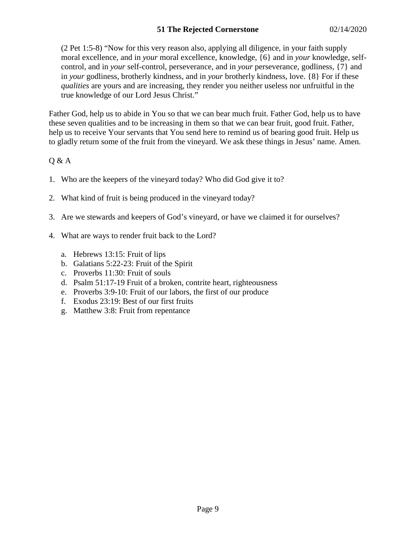# **51 The Rejected Cornerstone** 02/14/2020

(2 Pet 1:5-8) "Now for this very reason also, applying all diligence, in your faith supply moral excellence, and in *your* moral excellence, knowledge, {6} and in *your* knowledge, selfcontrol, and in *your* self-control, perseverance, and in *your* perseverance, godliness, {7} and in *your* godliness, brotherly kindness, and in *your* brotherly kindness, love. {8} For if these *qualities* are yours and are increasing, they render you neither useless nor unfruitful in the true knowledge of our Lord Jesus Christ."

Father God, help us to abide in You so that we can bear much fruit. Father God, help us to have these seven qualities and to be increasing in them so that we can bear fruit, good fruit. Father, help us to receive Your servants that You send here to remind us of bearing good fruit. Help us to gladly return some of the fruit from the vineyard. We ask these things in Jesus' name. Amen.

## Q & A

- 1. Who are the keepers of the vineyard today? Who did God give it to?
- 2. What kind of fruit is being produced in the vineyard today?
- 3. Are we stewards and keepers of God's vineyard, or have we claimed it for ourselves?
- 4. What are ways to render fruit back to the Lord?
	- a. Hebrews 13:15: Fruit of lips
	- b. Galatians 5:22-23: Fruit of the Spirit
	- c. Proverbs 11:30: Fruit of souls
	- d. Psalm 51:17-19 Fruit of a broken, contrite heart, righteousness
	- e. Proverbs 3:9-10: Fruit of our labors, the first of our produce
	- f. Exodus 23:19: Best of our first fruits
	- g. Matthew 3:8: Fruit from repentance